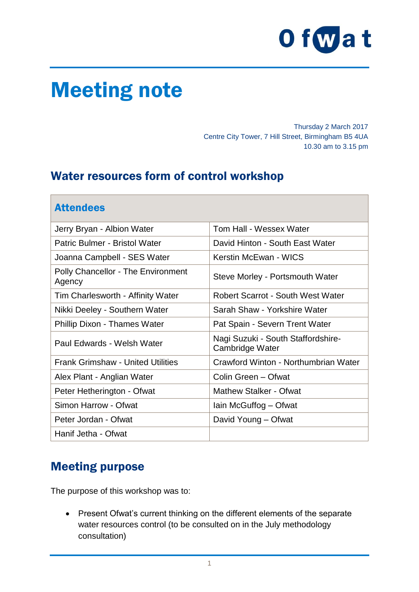

# Meeting note

Thursday 2 March 2017 Centre City Tower, 7 Hill Street, Birmingham B5 4UA 10.30 am to 3.15 pm

## Water resources form of control workshop

| <b>Attendees</b>                                    |                                                       |
|-----------------------------------------------------|-------------------------------------------------------|
| Jerry Bryan - Albion Water                          | Tom Hall - Wessex Water                               |
| Patric Bulmer - Bristol Water                       | David Hinton - South East Water                       |
| Joanna Campbell - SES Water                         | Kerstin McEwan - WICS                                 |
| <b>Polly Chancellor - The Environment</b><br>Agency | Steve Morley - Portsmouth Water                       |
| Tim Charlesworth - Affinity Water                   | <b>Robert Scarrot - South West Water</b>              |
| Nikki Deeley - Southern Water                       | Sarah Shaw - Yorkshire Water                          |
| <b>Phillip Dixon - Thames Water</b>                 | Pat Spain - Severn Trent Water                        |
| Paul Edwards - Welsh Water                          | Nagi Suzuki - South Staffordshire-<br>Cambridge Water |
| <b>Frank Grimshaw - United Utilities</b>            | Crawford Winton - Northumbrian Water                  |
| Alex Plant - Anglian Water                          | Colin Green - Ofwat                                   |
| Peter Hetherington - Ofwat                          | <b>Mathew Stalker - Ofwat</b>                         |
| Simon Harrow - Ofwat                                | lain McGuffog - Ofwat                                 |
| Peter Jordan - Ofwat                                | David Young - Ofwat                                   |
| Hanif Jetha - Ofwat                                 |                                                       |

## Meeting purpose

The purpose of this workshop was to:

• Present Ofwat's current thinking on the different elements of the separate water resources control (to be consulted on in the July methodology consultation)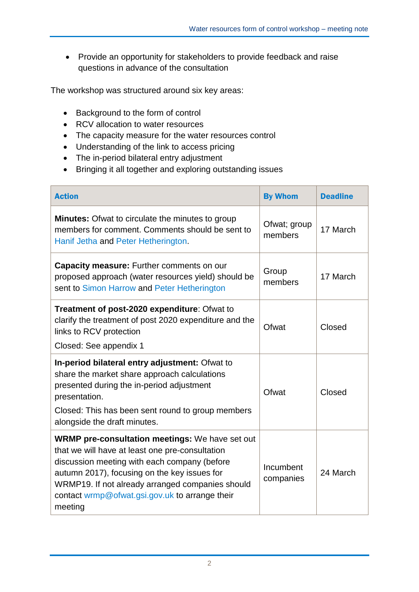• Provide an opportunity for stakeholders to provide feedback and raise questions in advance of the consultation

The workshop was structured around six key areas:

- Background to the form of control
- RCV allocation to water resources
- The capacity measure for the water resources control
- Understanding of the link to access pricing
- The in-period bilateral entry adjustment
- Bringing it all together and exploring outstanding issues

| <b>Action</b>                                                                                                                                                                                                                                                                                                              | <b>By Whom</b>          | <b>Deadline</b> |
|----------------------------------------------------------------------------------------------------------------------------------------------------------------------------------------------------------------------------------------------------------------------------------------------------------------------------|-------------------------|-----------------|
| <b>Minutes:</b> Ofwat to circulate the minutes to group<br>members for comment. Comments should be sent to<br>Hanif Jetha and Peter Hetherington.                                                                                                                                                                          | Ofwat; group<br>members | 17 March        |
| Capacity measure: Further comments on our<br>proposed approach (water resources yield) should be<br>sent to Simon Harrow and Peter Hetherington                                                                                                                                                                            | Group<br>members        | 17 March        |
| Treatment of post-2020 expenditure: Ofwat to<br>clarify the treatment of post 2020 expenditure and the<br>links to RCV protection<br>Closed: See appendix 1                                                                                                                                                                | Ofwat                   | Closed          |
| In-period bilateral entry adjustment: Ofwat to<br>share the market share approach calculations<br>presented during the in-period adjustment<br>presentation.<br>Closed: This has been sent round to group members<br>alongside the draft minutes.                                                                          | Ofwat                   | Closed          |
| <b>WRMP pre-consultation meetings:</b> We have set out<br>that we will have at least one pre-consultation<br>discussion meeting with each company (before<br>autumn 2017), focusing on the key issues for<br>WRMP19. If not already arranged companies should<br>contact wrmp@ofwat.gsi.gov.uk to arrange their<br>meeting | Incumbent<br>companies  | 24 March        |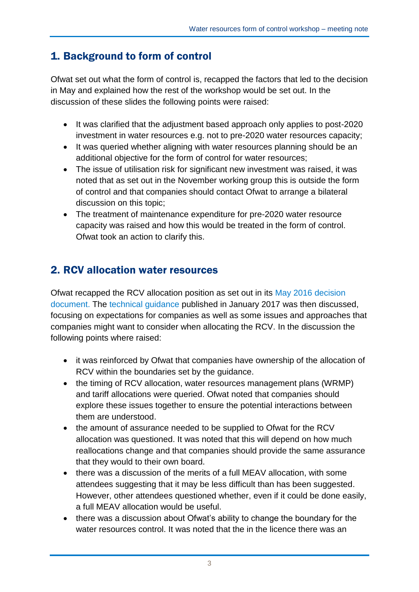## 1. Background to form of control

Ofwat set out what the form of control is, recapped the factors that led to the decision in May and explained how the rest of the workshop would be set out. In the discussion of these slides the following points were raised:

- It was clarified that the adjustment based approach only applies to post-2020 investment in water resources e.g. not to pre-2020 water resources capacity;
- It was queried whether aligning with water resources planning should be an additional objective for the form of control for water resources;
- The issue of utilisation risk for significant new investment was raised, it was noted that as set out in the November working group this is outside the form of control and that companies should contact Ofwat to arrange a bilateral discussion on this topic;
- The treatment of maintenance expenditure for pre-2020 water resource capacity was raised and how this would be treated in the form of control. Ofwat took an action to clarify this.

## 2. RCV allocation water resources

Ofwat recapped the RCV allocation position as set out in its May 2016 decision document. The [technical guidance](http://www.ofwat.gov.uk/wp-content/uploads/2017/01/Water-resources-pre-2020-legacy-RCV-allocation-at-PR19-technical-guidance.pdf) published in January 2017 was then discussed, focusing on expectations for companies as well as some issues and approaches that companies might want to consider when allocating the RCV. In the discussion the following points where raised:

- it was reinforced by Ofwat that companies have ownership of the allocation of RCV within the boundaries set by the guidance.
- the timing of RCV allocation, water resources management plans (WRMP) and tariff allocations were queried. Ofwat noted that companies should explore these issues together to ensure the potential interactions between them are understood.
- the amount of assurance needed to be supplied to Ofwat for the RCV allocation was questioned. It was noted that this will depend on how much reallocations change and that companies should provide the same assurance that they would to their own board.
- there was a discussion of the merits of a full MEAV allocation, with some attendees suggesting that it may be less difficult than has been suggested. However, other attendees questioned whether, even if it could be done easily, a full MEAV allocation would be useful.
- there was a discussion about Ofwat's ability to change the boundary for the water resources control. It was noted that the in the licence there was an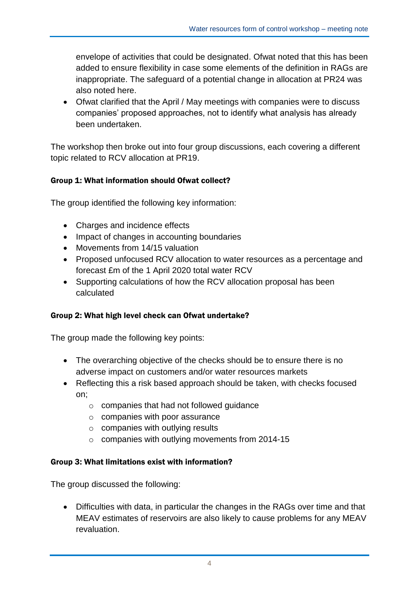envelope of activities that could be designated. Ofwat noted that this has been added to ensure flexibility in case some elements of the definition in RAGs are inappropriate. The safeguard of a potential change in allocation at PR24 was also noted here.

 Ofwat clarified that the April / May meetings with companies were to discuss companies' proposed approaches, not to identify what analysis has already been undertaken.

The workshop then broke out into four group discussions, each covering a different topic related to RCV allocation at PR19.

#### Group 1: What information should Ofwat collect?

The group identified the following key information:

- Charges and incidence effects
- Impact of changes in accounting boundaries
- Movements from 14/15 valuation
- Proposed unfocused RCV allocation to water resources as a percentage and forecast £m of the 1 April 2020 total water RCV
- Supporting calculations of how the RCV allocation proposal has been calculated

#### Group 2: What high level check can Ofwat undertake?

The group made the following key points:

- The overarching objective of the checks should be to ensure there is no adverse impact on customers and/or water resources markets
- Reflecting this a risk based approach should be taken, with checks focused on;
	- o companies that had not followed guidance
	- $\circ$  companies with poor assurance
	- $\circ$  companies with outlying results
	- $\circ$  companies with outlying movements from 2014-15

#### Group 3: What limitations exist with information?

The group discussed the following:

 Difficulties with data, in particular the changes in the RAGs over time and that MEAV estimates of reservoirs are also likely to cause problems for any MEAV revaluation.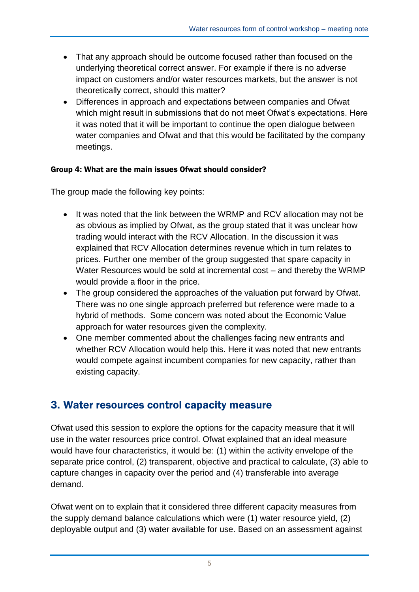- That any approach should be outcome focused rather than focused on the underlying theoretical correct answer. For example if there is no adverse impact on customers and/or water resources markets, but the answer is not theoretically correct, should this matter?
- Differences in approach and expectations between companies and Ofwat which might result in submissions that do not meet Ofwat's expectations. Here it was noted that it will be important to continue the open dialogue between water companies and Ofwat and that this would be facilitated by the company meetings.

#### Group 4: What are the main issues Ofwat should consider?

The group made the following key points:

- It was noted that the link between the WRMP and RCV allocation may not be as obvious as implied by Ofwat, as the group stated that it was unclear how trading would interact with the RCV Allocation. In the discussion it was explained that RCV Allocation determines revenue which in turn relates to prices. Further one member of the group suggested that spare capacity in Water Resources would be sold at incremental cost – and thereby the WRMP would provide a floor in the price.
- The group considered the approaches of the valuation put forward by Ofwat. There was no one single approach preferred but reference were made to a hybrid of methods. Some concern was noted about the Economic Value approach for water resources given the complexity.
- One member commented about the challenges facing new entrants and whether RCV Allocation would help this. Here it was noted that new entrants would compete against incumbent companies for new capacity, rather than existing capacity.

### 3. Water resources control capacity measure

Ofwat used this session to explore the options for the capacity measure that it will use in the water resources price control. Ofwat explained that an ideal measure would have four characteristics, it would be: (1) within the activity envelope of the separate price control, (2) transparent, objective and practical to calculate, (3) able to capture changes in capacity over the period and (4) transferable into average demand.

Ofwat went on to explain that it considered three different capacity measures from the supply demand balance calculations which were (1) water resource yield, (2) deployable output and (3) water available for use. Based on an assessment against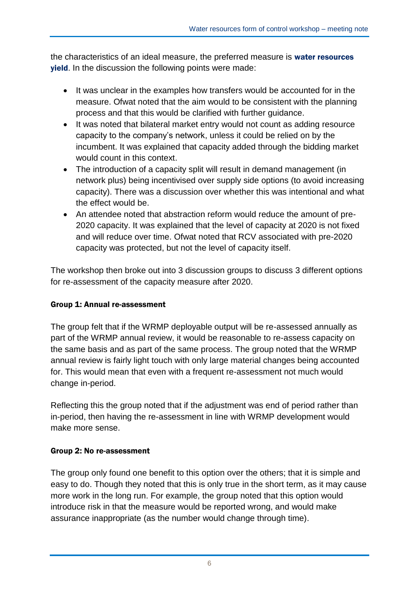the characteristics of an ideal measure, the preferred measure is water resources yield. In the discussion the following points were made:

- It was unclear in the examples how transfers would be accounted for in the measure. Ofwat noted that the aim would to be consistent with the planning process and that this would be clarified with further guidance.
- It was noted that bilateral market entry would not count as adding resource capacity to the company's network, unless it could be relied on by the incumbent. It was explained that capacity added through the bidding market would count in this context.
- The introduction of a capacity split will result in demand management (in network plus) being incentivised over supply side options (to avoid increasing capacity). There was a discussion over whether this was intentional and what the effect would be.
- An attendee noted that abstraction reform would reduce the amount of pre-2020 capacity. It was explained that the level of capacity at 2020 is not fixed and will reduce over time. Ofwat noted that RCV associated with pre-2020 capacity was protected, but not the level of capacity itself.

The workshop then broke out into 3 discussion groups to discuss 3 different options for re-assessment of the capacity measure after 2020.

#### Group 1: Annual re-assessment

The group felt that if the WRMP deployable output will be re-assessed annually as part of the WRMP annual review, it would be reasonable to re-assess capacity on the same basis and as part of the same process. The group noted that the WRMP annual review is fairly light touch with only large material changes being accounted for. This would mean that even with a frequent re-assessment not much would change in-period.

Reflecting this the group noted that if the adjustment was end of period rather than in-period, then having the re-assessment in line with WRMP development would make more sense.

#### Group 2: No re-assessment

The group only found one benefit to this option over the others; that it is simple and easy to do. Though they noted that this is only true in the short term, as it may cause more work in the long run. For example, the group noted that this option would introduce risk in that the measure would be reported wrong, and would make assurance inappropriate (as the number would change through time).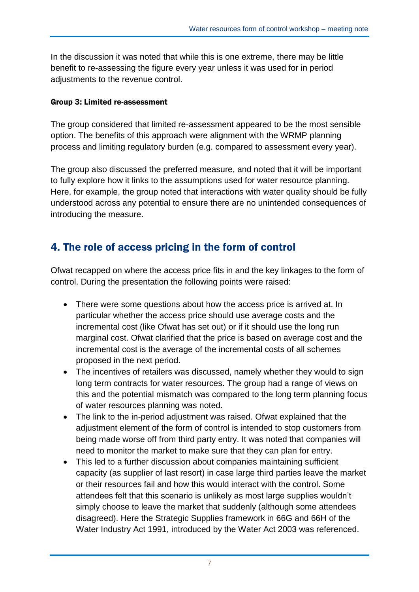In the discussion it was noted that while this is one extreme, there may be little benefit to re-assessing the figure every year unless it was used for in period adjustments to the revenue control.

#### Group 3: Limited re-assessment

The group considered that limited re-assessment appeared to be the most sensible option. The benefits of this approach were alignment with the WRMP planning process and limiting regulatory burden (e.g. compared to assessment every year).

The group also discussed the preferred measure, and noted that it will be important to fully explore how it links to the assumptions used for water resource planning. Here, for example, the group noted that interactions with water quality should be fully understood across any potential to ensure there are no unintended consequences of introducing the measure.

## 4. The role of access pricing in the form of control

Ofwat recapped on where the access price fits in and the key linkages to the form of control. During the presentation the following points were raised:

- There were some questions about how the access price is arrived at. In particular whether the access price should use average costs and the incremental cost (like Ofwat has set out) or if it should use the long run marginal cost. Ofwat clarified that the price is based on average cost and the incremental cost is the average of the incremental costs of all schemes proposed in the next period.
- The incentives of retailers was discussed, namely whether they would to sign long term contracts for water resources. The group had a range of views on this and the potential mismatch was compared to the long term planning focus of water resources planning was noted.
- The link to the in-period adjustment was raised. Ofwat explained that the adjustment element of the form of control is intended to stop customers from being made worse off from third party entry. It was noted that companies will need to monitor the market to make sure that they can plan for entry.
- This led to a further discussion about companies maintaining sufficient capacity (as supplier of last resort) in case large third parties leave the market or their resources fail and how this would interact with the control. Some attendees felt that this scenario is unlikely as most large supplies wouldn't simply choose to leave the market that suddenly (although some attendees disagreed). Here the Strategic Supplies framework in 66G and 66H of the Water Industry Act 1991, introduced by the Water Act 2003 was referenced.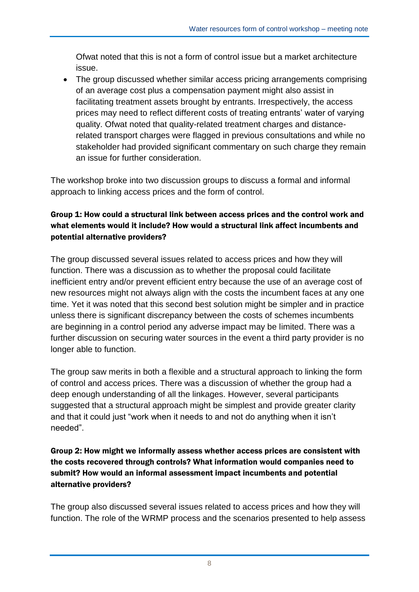Ofwat noted that this is not a form of control issue but a market architecture issue.

 The group discussed whether similar access pricing arrangements comprising of an average cost plus a compensation payment might also assist in facilitating treatment assets brought by entrants. Irrespectively, the access prices may need to reflect different costs of treating entrants' water of varying quality. Ofwat noted that quality-related treatment charges and distancerelated transport charges were flagged in previous consultations and while no stakeholder had provided significant commentary on such charge they remain an issue for further consideration.

The workshop broke into two discussion groups to discuss a formal and informal approach to linking access prices and the form of control.

#### Group 1: How could a structural link between access prices and the control work and what elements would it include? How would a structural link affect incumbents and potential alternative providers?

The group discussed several issues related to access prices and how they will function. There was a discussion as to whether the proposal could facilitate inefficient entry and/or prevent efficient entry because the use of an average cost of new resources might not always align with the costs the incumbent faces at any one time. Yet it was noted that this second best solution might be simpler and in practice unless there is significant discrepancy between the costs of schemes incumbents are beginning in a control period any adverse impact may be limited. There was a further discussion on securing water sources in the event a third party provider is no longer able to function.

The group saw merits in both a flexible and a structural approach to linking the form of control and access prices. There was a discussion of whether the group had a deep enough understanding of all the linkages. However, several participants suggested that a structural approach might be simplest and provide greater clarity and that it could just "work when it needs to and not do anything when it isn't needed".

#### Group 2: How might we informally assess whether access prices are consistent with the costs recovered through controls? What information would companies need to submit? How would an informal assessment impact incumbents and potential alternative providers?

The group also discussed several issues related to access prices and how they will function. The role of the WRMP process and the scenarios presented to help assess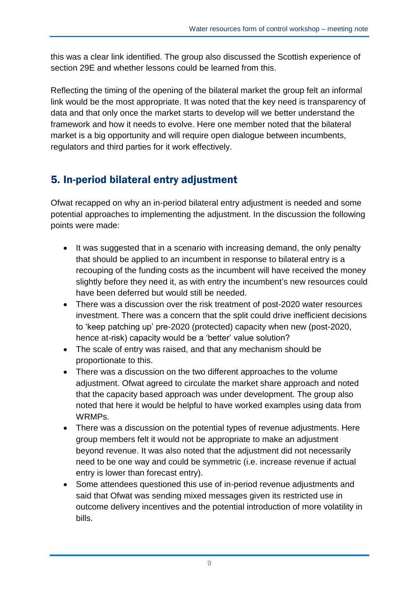this was a clear link identified. The group also discussed the Scottish experience of section 29E and whether lessons could be learned from this.

Reflecting the timing of the opening of the bilateral market the group felt an informal link would be the most appropriate. It was noted that the key need is transparency of data and that only once the market starts to develop will we better understand the framework and how it needs to evolve. Here one member noted that the bilateral market is a big opportunity and will require open dialogue between incumbents, regulators and third parties for it work effectively.

## 5. In-period bilateral entry adjustment

Ofwat recapped on why an in-period bilateral entry adjustment is needed and some potential approaches to implementing the adjustment. In the discussion the following points were made:

- It was suggested that in a scenario with increasing demand, the only penalty that should be applied to an incumbent in response to bilateral entry is a recouping of the funding costs as the incumbent will have received the money slightly before they need it, as with entry the incumbent's new resources could have been deferred but would still be needed.
- There was a discussion over the risk treatment of post-2020 water resources investment. There was a concern that the split could drive inefficient decisions to 'keep patching up' pre-2020 (protected) capacity when new (post-2020, hence at-risk) capacity would be a 'better' value solution?
- The scale of entry was raised, and that any mechanism should be proportionate to this.
- There was a discussion on the two different approaches to the volume adjustment. Ofwat agreed to circulate the market share approach and noted that the capacity based approach was under development. The group also noted that here it would be helpful to have worked examples using data from WRMPs.
- There was a discussion on the potential types of revenue adjustments. Here group members felt it would not be appropriate to make an adjustment beyond revenue. It was also noted that the adjustment did not necessarily need to be one way and could be symmetric (i.e. increase revenue if actual entry is lower than forecast entry).
- Some attendees questioned this use of in-period revenue adjustments and said that Ofwat was sending mixed messages given its restricted use in outcome delivery incentives and the potential introduction of more volatility in bills.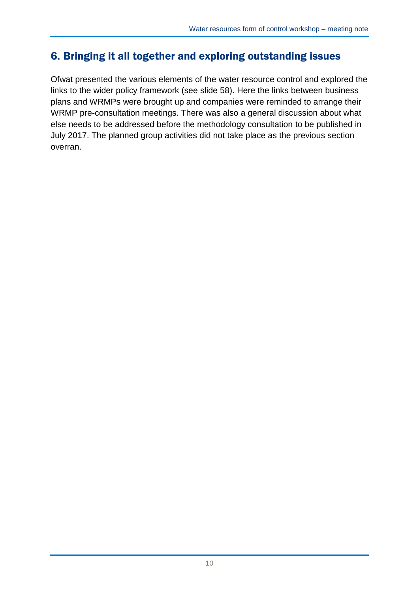## 6. Bringing it all together and exploring outstanding issues

Ofwat presented the various elements of the water resource control and explored the links to the wider policy framework (see slide 58). Here the links between business plans and WRMPs were brought up and companies were reminded to arrange their WRMP pre-consultation meetings. There was also a general discussion about what else needs to be addressed before the methodology consultation to be published in July 2017. The planned group activities did not take place as the previous section overran.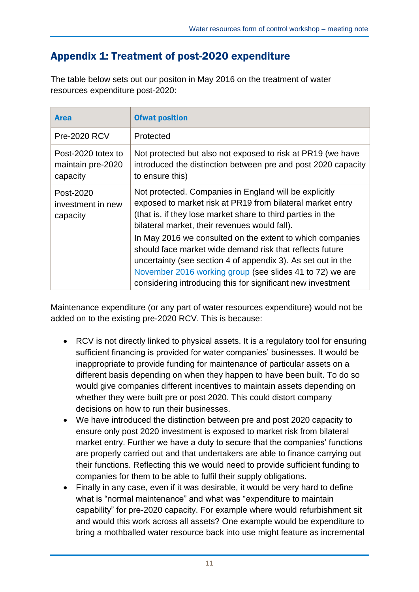## Appendix 1: Treatment of post-2020 expenditure

The table below sets out our positon in May 2016 on the treatment of water resources expenditure post-2020:

| <b>Area</b>                                         | <b>Ofwat position</b>                                                                                                                                                                                                                                                                                                                                                                                                         |
|-----------------------------------------------------|-------------------------------------------------------------------------------------------------------------------------------------------------------------------------------------------------------------------------------------------------------------------------------------------------------------------------------------------------------------------------------------------------------------------------------|
| <b>Pre-2020 RCV</b>                                 | Protected                                                                                                                                                                                                                                                                                                                                                                                                                     |
| Post-2020 totex to<br>maintain pre-2020<br>capacity | Not protected but also not exposed to risk at PR19 (we have<br>introduced the distinction between pre and post 2020 capacity<br>to ensure this)                                                                                                                                                                                                                                                                               |
| Post-2020<br>investment in new<br>capacity          | Not protected. Companies in England will be explicitly<br>exposed to market risk at PR19 from bilateral market entry<br>(that is, if they lose market share to third parties in the<br>bilateral market, their revenues would fall).<br>In May 2016 we consulted on the extent to which companies<br>should face market wide demand risk that reflects future<br>uncertainty (see section 4 of appendix 3). As set out in the |
|                                                     | November 2016 working group (see slides 41 to 72) we are<br>considering introducing this for significant new investment                                                                                                                                                                                                                                                                                                       |

Maintenance expenditure (or any part of water resources expenditure) would not be added on to the existing pre-2020 RCV. This is because:

- RCV is not directly linked to physical assets. It is a regulatory tool for ensuring sufficient financing is provided for water companies' businesses. It would be inappropriate to provide funding for maintenance of particular assets on a different basis depending on when they happen to have been built. To do so would give companies different incentives to maintain assets depending on whether they were built pre or post 2020. This could distort company decisions on how to run their businesses.
- We have introduced the distinction between pre and post 2020 capacity to ensure only post 2020 investment is exposed to market risk from bilateral market entry. Further we have a duty to secure that the companies' functions are properly carried out and that undertakers are able to finance carrying out their functions. Reflecting this we would need to provide sufficient funding to companies for them to be able to fulfil their supply obligations.
- Finally in any case, even if it was desirable, it would be very hard to define what is "normal maintenance" and what was "expenditure to maintain capability" for pre-2020 capacity. For example where would refurbishment sit and would this work across all assets? One example would be expenditure to bring a mothballed water resource back into use might feature as incremental